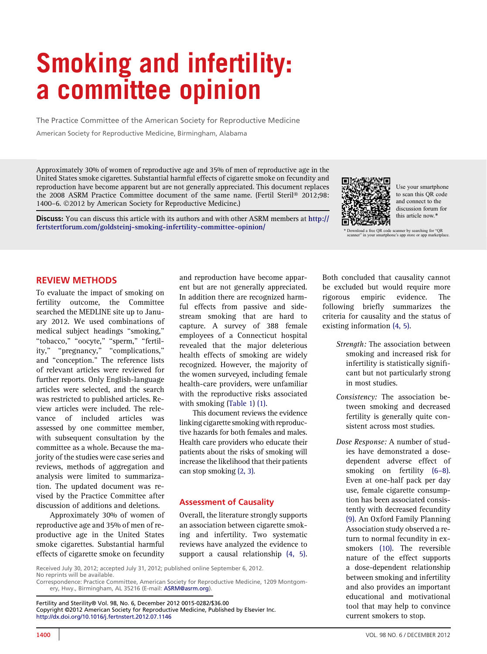# Smoking and infertility: a committee opinion

The Practice Committee of the American Society for Reproductive Medicine American Society for Reproductive Medicine, Birmingham, Alabama

Approximately 30% of women of reproductive age and 35% of men of reproductive age in the United States smoke cigarettes. Substantial harmful effects of cigarette smoke on fecundity and reproduction have become apparent but are not generally appreciated. This document replaces the 2008 ASRM Practice Committee document of the same name. (Fertil Steril® 2012;98: 1400–6. 2012 by American Society for Reproductive Medicine.)

Discuss: You can discuss this article with its authors and with other ASRM members at [http://](http://fertstertforum.com/goldsteinj-smoking-infertility-committee-opinion/) [fertstertforum.com/goldsteinj-smoking-infertility-committee-opinion/](http://fertstertforum.com/goldsteinj-smoking-infertility-committee-opinion/)



Use your smartphone to scan this QR code and connect to the discussion forum for this article now.\*

\* Download a free QR code scanner by searching for "QR scanner" in your smartphone's app store or app marketplace.

### REVIEW METHODS

To evaluate the impact of smoking on fertility outcome, the Committee searched the MEDLINE site up to January 2012. We used combinations of medical subject headings ''smoking,'' ''tobacco,'' ''oocyte,'' ''sperm,'' ''fertility,'' ''pregnancy,'' ''complications,'' and ''conception.'' The reference lists of relevant articles were reviewed for further reports. Only English-language articles were selected, and the search was restricted to published articles. Review articles were included. The relevance of included articles was assessed by one committee member, with subsequent consultation by the committee as a whole. Because the majority of the studies were case series and reviews, methods of aggregation and analysis were limited to summarization. The updated document was revised by the Practice Committee after discussion of additions and deletions.

Approximately 30% of women of reproductive age and 35% of men of reproductive age in the United States smoke cigarettes. Substantial harmful effects of cigarette smoke on fecundity

and reproduction have become apparent but are not generally appreciated. In addition there are recognized harmful effects from passive and sidestream smoking that are hard to capture. A survey of 388 female employees of a Connecticut hospital revealed that the major deleterious health effects of smoking are widely recognized. However, the majority of the women surveyed, including female health-care providers, were unfamiliar with the reproductive risks associated with smoking ([Table 1](#page-1-0)) [\(1\)](#page-4-0).

This document reviews the evidence linking cigarette smoking with reproductive hazards for both females and males. Health care providers who educate their patients about the risks of smoking will increase the likelihood that their patients can stop smoking [\(2, 3\).](#page-4-0)

### Assessment of Causality

Overall, the literature strongly supports an association between cigarette smoking and infertility. Two systematic reviews have analyzed the evidence to support a causal relationship [\(4, 5\)](#page-4-0).

Received July 30, 2012; accepted July 31, 2012; published online September 6, 2012. No reprints will be available.

Correspondence: Practice Committee, American Society for Reproductive Medicine, 1209 Montgom-ery, Hwy., Birmingham, AL 35216 (E-mail: [ASRM@asrm.org](mailto:ASRM@asrm.org)).

Fertility and Sterility® Vol. 98, No. 6, December 2012 0015-0282/\$36.00 Copyright ©2012 American Society for Reproductive Medicine, Published by Elsevier Inc. <http://dx.doi.org/10.1016/j.fertnstert.2012.07.1146>

Both concluded that causality cannot be excluded but would require more rigorous empiric evidence. The following briefly summarizes the criteria for causality and the status of existing information [\(4, 5\)](#page-4-0).

- Strength: The association between smoking and increased risk for infertility is statistically significant but not particularly strong in most studies.
- Consistency: The association between smoking and decreased fertility is generally quite consistent across most studies.
- Dose Response: A number of studies have demonstrated a dosedependent adverse effect of smoking on fertility (6–[8\).](#page-4-0) Even at one-half pack per day use, female cigarette consumption has been associated consistently with decreased fecundity [\(9\)](#page-5-0). An Oxford Family Planning Association study observed a return to normal fecundity in exsmokers [\(10\).](#page-5-0) The reversible nature of the effect supports a dose-dependent relationship between smoking and infertility and also provides an important educational and motivational tool that may help to convince current smokers to stop.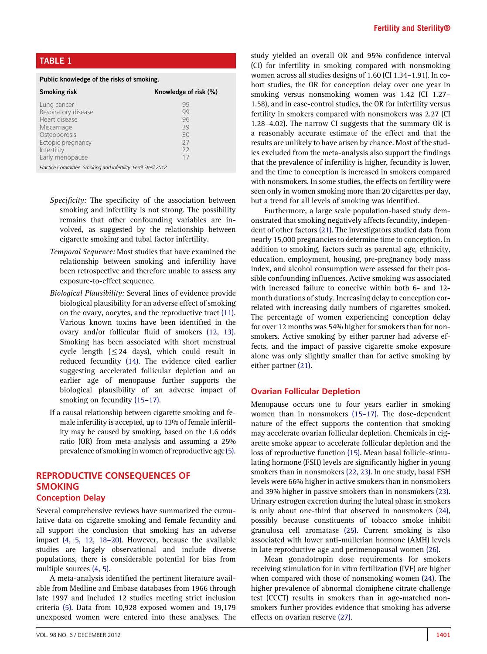# <span id="page-1-0"></span>TABLE 1

| Public knowledge of the risks of smoking.                                                                              |                                        |
|------------------------------------------------------------------------------------------------------------------------|----------------------------------------|
| <b>Smoking risk</b>                                                                                                    | Knowledge of risk (%)                  |
| Lung cancer<br>Respiratory disease<br>Heart disease<br>Miscarriage<br>Osteoporosis<br>Ectopic pregnancy<br>Infertility | 99<br>99<br>96<br>39<br>30<br>27<br>22 |
| Early menopause<br>_ . _ _                                                                                             | 17                                     |

Practice Committee. Smoking and infertility. Fertil Steril 2012.

- Specificity: The specificity of the association between smoking and infertility is not strong. The possibility remains that other confounding variables are involved, as suggested by the relationship between cigarette smoking and tubal factor infertility.
- Temporal Sequence: Most studies that have examined the relationship between smoking and infertility have been retrospective and therefore unable to assess any exposure-to-effect sequence.
- Biological Plausibility: Several lines of evidence provide biological plausibility for an adverse effect of smoking on the ovary, oocytes, and the reproductive tract [\(11\).](#page-5-0) Various known toxins have been identified in the ovary and/or follicular fluid of smokers [\(12, 13\).](#page-5-0) Smoking has been associated with short menstrual cycle length  $(\leq 24$  days), which could result in reduced fecundity [\(14\).](#page-5-0) The evidence cited earlier suggesting accelerated follicular depletion and an earlier age of menopause further supports the biological plausibility of an adverse impact of smoking on fecundity [\(15](#page-5-0)–17).
- If a causal relationship between cigarette smoking and female infertility is accepted, up to 13% of female infertility may be caused by smoking, based on the 1.6 odds ratio (OR) from meta-analysis and assuming a 25% prevalence of smoking in women of reproductive age [\(5\).](#page-4-0)

## REPRODUCTIVE CONSEQUENCES OF SMOKING Conception Delay

Several comprehensive reviews have summarized the cumulative data on cigarette smoking and female fecundity and all support the conclusion that smoking has an adverse impact [\(4, 5, 12, 18](#page-4-0)–20). However, because the available studies are largely observational and include diverse populations, there is considerable potential for bias from multiple sources [\(4, 5\).](#page-4-0)

A meta-analysis identified the pertinent literature available from Medline and Embase databases from 1966 through late 1997 and included 12 studies meeting strict inclusion criteria [\(5\)](#page-4-0). Data from 10,928 exposed women and 19,179 unexposed women were entered into these analyses. The

study yielded an overall OR and 95% confidence interval (CI) for infertility in smoking compared with nonsmoking women across all studies designs of 1.60 (CI 1.34–1.91). In cohort studies, the OR for conception delay over one year in smoking versus nonsmoking women was 1.42 (CI 1.27– 1.58), and in case-control studies, the OR for infertility versus fertility in smokers compared with nonsmokers was 2.27 (CI 1.28–4.02). The narrow CI suggests that the summary OR is a reasonably accurate estimate of the effect and that the results are unlikely to have arisen by chance. Most of the studies excluded from the meta-analysis also support the findings that the prevalence of infertility is higher, fecundity is lower, and the time to conception is increased in smokers compared with nonsmokers. In some studies, the effects on fertility were seen only in women smoking more than 20 cigarettes per day, but a trend for all levels of smoking was identified.

Furthermore, a large scale population-based study demonstrated that smoking negatively affects fecundity, independent of other factors [\(21\)](#page-5-0). The investigators studied data from nearly 15,000 pregnancies to determine time to conception. In addition to smoking, factors such as parental age, ethnicity, education, employment, housing, pre-pregnancy body mass index, and alcohol consumption were assessed for their possible confounding influences. Active smoking was associated with increased failure to conceive within both 6- and 12 month durations of study. Increasing delay to conception correlated with increasing daily numbers of cigarettes smoked. The percentage of women experiencing conception delay for over 12 months was 54% higher for smokers than for nonsmokers. Active smoking by either partner had adverse effects, and the impact of passive cigarette smoke exposure alone was only slightly smaller than for active smoking by either partner [\(21\)](#page-5-0).

#### Ovarian Follicular Depletion

Menopause occurs one to four years earlier in smoking women than in nonsmokers (15–[17\).](#page-5-0) The dose-dependent nature of the effect supports the contention that smoking may accelerate ovarian follicular depletion. Chemicals in cigarette smoke appear to accelerate follicular depletion and the loss of reproductive function [\(15\).](#page-5-0) Mean basal follicle-stimulating hormone (FSH) levels are significantly higher in young smokers than in nonsmokers [\(22, 23\)](#page-5-0). In one study, basal FSH levels were 66% higher in active smokers than in nonsmokers and 39% higher in passive smokers than in nonsmokers [\(23\).](#page-5-0) Urinary estrogen excretion during the luteal phase in smokers is only about one-third that observed in nonsmokers [\(24\),](#page-5-0) possibly because constituents of tobacco smoke inhibit granulosa cell aromatase [\(25\).](#page-5-0) Current smoking is also associated with lower anti-müllerian hormone (AMH) levels in late reproductive age and perimenopausal women [\(26\)](#page-5-0).

Mean gonadotropin dose requirements for smokers receiving stimulation for in vitro fertilization (IVF) are higher when compared with those of nonsmoking women [\(24\).](#page-5-0) The higher prevalence of abnormal clomiphene citrate challenge test (CCCT) results in smokers than in age-matched nonsmokers further provides evidence that smoking has adverse effects on ovarian reserve [\(27\).](#page-5-0)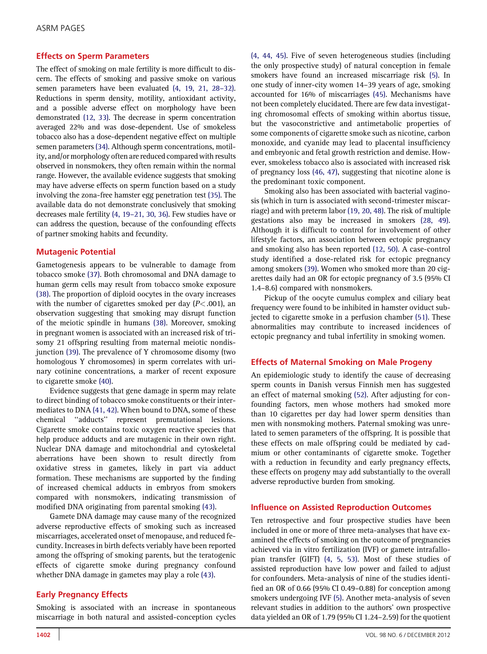## Effects on Sperm Parameters

The effect of smoking on male fertility is more difficult to discern. The effects of smoking and passive smoke on various semen parameters have been evaluated [\(4, 19, 21, 28](#page-4-0)–32). Reductions in sperm density, motility, antioxidant activity, and a possible adverse effect on morphology have been demonstrated [\(12, 33\)](#page-5-0). The decrease in sperm concentration averaged 22% and was dose-dependent. Use of smokeless tobacco also has a dose-dependent negative effect on multiple semen parameters [\(34\).](#page-5-0) Although sperm concentrations, motility, and/or morphology often are reduced compared with results observed in nonsmokers, they often remain within the normal range. However, the available evidence suggests that smoking may have adverse effects on sperm function based on a study involving the zona-free hamster egg penetration test [\(35\).](#page-5-0) The available data do not demonstrate conclusively that smoking decreases male fertility (4, 19–[21, 30, 36\).](#page-4-0) Few studies have or can address the question, because of the confounding effects of partner smoking habits and fecundity.

### Mutagenic Potential

Gametogenesis appears to be vulnerable to damage from tobacco smoke [\(37\)](#page-5-0). Both chromosomal and DNA damage to human germ cells may result from tobacco smoke exposure [\(38\).](#page-5-0) The proportion of diploid oocytes in the ovary increases with the number of cigarettes smoked per day  $(P<.001)$ , an observation suggesting that smoking may disrupt function of the meiotic spindle in humans [\(38\)](#page-5-0). Moreover, smoking in pregnant women is associated with an increased risk of trisomy 21 offspring resulting from maternal meiotic nondisjunction [\(39\).](#page-5-0) The prevalence of Y chromosome disomy (two homologous Y chromosomes) in sperm correlates with urinary cotinine concentrations, a marker of recent exposure to cigarette smoke [\(40\).](#page-5-0)

Evidence suggests that gene damage in sperm may relate to direct binding of tobacco smoke constituents or their intermediates to DNA [\(41, 42\)](#page-5-0). When bound to DNA, some of these chemical ''adducts'' represent premutational lesions. Cigarette smoke contains toxic oxygen reactive species that help produce adducts and are mutagenic in their own right. Nuclear DNA damage and mitochondrial and cytoskeletal aberrations have been shown to result directly from oxidative stress in gametes, likely in part via adduct formation. These mechanisms are supported by the finding of increased chemical adducts in embryos from smokers compared with nonsmokers, indicating transmission of modified DNA originating from parental smoking [\(43\)](#page-5-0).

Gamete DNA damage may cause many of the recognized adverse reproductive effects of smoking such as increased miscarriages, accelerated onset of menopause, and reduced fecundity. Increases in birth defects veriably have been reported among the offspring of smoking parents, but the teratogenic effects of cigarette smoke during pregnancy confound whether DNA damage in gametes may play a role [\(43\).](#page-5-0)

### Early Pregnancy Effects

Smoking is associated with an increase in spontaneous miscarriage in both natural and assisted-conception cycles [\(4, 44, 45\).](#page-4-0) Five of seven heterogeneous studies (including the only prospective study) of natural conception in female smokers have found an increased miscarriage risk [\(5\)](#page-4-0). In one study of inner-city women 14–39 years of age, smoking accounted for 16% of miscarriages [\(45\)](#page-5-0). Mechanisms have not been completely elucidated. There are few data investigating chromosomal effects of smoking within abortus tissue, but the vasoconstrictive and antimetabolic properties of some components of cigarette smoke such as nicotine, carbon monoxide, and cyanide may lead to placental insufficiency and embryonic and fetal growth restriction and demise. However, smokeless tobacco also is associated with increased risk of pregnancy loss [\(46, 47\)](#page-5-0), suggesting that nicotine alone is the predominant toxic component.

Smoking also has been associated with bacterial vaginosis (which in turn is associated with second-trimester miscarriage) and with preterm labor [\(19, 20, 48\)](#page-5-0). The risk of multiple gestations also may be increased in smokers [\(28, 49\).](#page-5-0) Although it is difficult to control for involvement of other lifestyle factors, an association between ectopic pregnancy and smoking also has been reported [\(12, 50\).](#page-5-0) A case-control study identified a dose-related risk for ectopic pregnancy among smokers [\(39\)](#page-5-0). Women who smoked more than 20 cigarettes daily had an OR for ectopic pregnancy of 3.5 (95% CI 1.4–8.6) compared with nonsmokers.

Pickup of the oocyte cumulus complex and ciliary beat frequency were found to be inhibited in hamster oviduct subjected to cigarette smoke in a perfusion chamber [\(51\)](#page-5-0). These abnormalities may contribute to increased incidences of ectopic pregnancy and tubal infertility in smoking women.

### Effects of Maternal Smoking on Male Progeny

An epidemiologic study to identify the cause of decreasing sperm counts in Danish versus Finnish men has suggested an effect of maternal smoking [\(52\).](#page-5-0) After adjusting for confounding factors, men whose mothers had smoked more than 10 cigarettes per day had lower sperm densities than men with nonsmoking mothers. Paternal smoking was unrelated to semen parameters of the offspring. It is possible that these effects on male offspring could be mediated by cadmium or other contaminants of cigarette smoke. Together with a reduction in fecundity and early pregnancy effects, these effects on progeny may add substantially to the overall adverse reproductive burden from smoking.

#### Influence on Assisted Reproduction Outcomes

Ten retrospective and four prospective studies have been included in one or more of three meta-analyses that have examined the effects of smoking on the outcome of pregnancies achieved via in vitro fertilization (IVF) or gamete intrafallopian transfer (GIFT) [\(4, 5, 53\).](#page-4-0) Most of these studies of assisted reproduction have low power and failed to adjust for confounders. Meta-analysis of nine of the studies identified an OR of 0.66 (95% CI 0.49–0.88) for conception among smokers undergoing IVF [\(5\).](#page-4-0) Another meta-analysis of seven relevant studies in addition to the authors' own prospective data yielded an OR of 1.79 (95% CI 1.24–2.59) for the quotient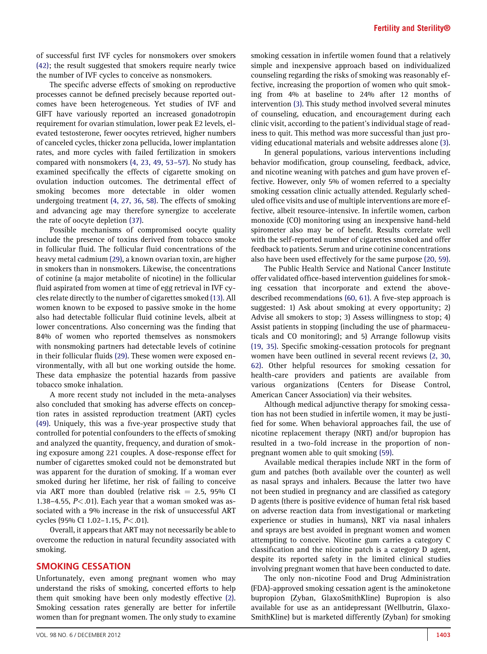of successful first IVF cycles for nonsmokers over smokers [\(42\);](#page-5-0) the result suggested that smokers require nearly twice the number of IVF cycles to conceive as nonsmokers.

The specific adverse effects of smoking on reproductive processes cannot be defined precisely because reported outcomes have been heterogeneous. Yet studies of IVF and GIFT have variously reported an increased gonadotropin requirement for ovarian stimulation, lower peak E2 levels, elevated testosterone, fewer oocytes retrieved, higher numbers of canceled cycles, thicker zona pellucida, lower implantation rates, and more cycles with failed fertilization in smokers compared with nonsmokers [\(4, 23, 49, 53](#page-4-0)–57). No study has examined specifically the effects of cigarette smoking on ovulation induction outcomes. The detrimental effect of smoking becomes more detectable in older women undergoing treatment [\(4, 27, 36, 58\).](#page-4-0) The effects of smoking and advancing age may therefore synergize to accelerate the rate of oocyte depletion [\(37\).](#page-5-0)

Possible mechanisms of compromised oocyte quality include the presence of toxins derived from tobacco smoke in follicular fluid. The follicular fluid concentrations of the heavy metal cadmium [\(29\),](#page-5-0) a known ovarian toxin, are higher in smokers than in nonsmokers. Likewise, the concentrations of cotinine (a major metabolite of nicotine) in the follicular fluid aspirated from women at time of egg retrieval in IVF cycles relate directly to the number of cigarettes smoked [\(13\).](#page-5-0) All women known to be exposed to passive smoke in the home also had detectable follicular fluid cotinine levels, albeit at lower concentrations. Also concerning was the finding that 84% of women who reported themselves as nonsmokers with nonsmoking partners had detectable levels of cotinine in their follicular fluids [\(29\).](#page-5-0) These women were exposed environmentally, with all but one working outside the home. These data emphasize the potential hazards from passive tobacco smoke inhalation.

A more recent study not included in the meta-analyses also concluded that smoking has adverse effects on conception rates in assisted reproduction treatment (ART) cycles [\(49\).](#page-5-0) Uniquely, this was a five-year prospective study that controlled for potential confounders to the effects of smoking and analyzed the quantity, frequency, and duration of smoking exposure among 221 couples. A dose-response effect for number of cigarettes smoked could not be demonstrated but was apparent for the duration of smoking. If a woman ever smoked during her lifetime, her risk of failing to conceive via ART more than doubled (relative risk  $= 2.5$ , 95% CI 1.38–4.55,  $P<.01$ ). Each year that a woman smoked was associated with a 9% increase in the risk of unsuccessful ART cycles (95% CI 1.02–1.15, P<.01).

Overall, it appears that ART may not necessarily be able to overcome the reduction in natural fecundity associated with smoking.

#### SMOKING CESSATION

Unfortunately, even among pregnant women who may understand the risks of smoking, concerted efforts to help them quit smoking have been only modestly effective [\(2\).](#page-4-0) Smoking cessation rates generally are better for infertile women than for pregnant women. The only study to examine

smoking cessation in infertile women found that a relatively simple and inexpensive approach based on individualized counseling regarding the risks of smoking was reasonably effective, increasing the proportion of women who quit smoking from 4% at baseline to 24% after 12 months of intervention [\(3\)](#page-4-0). This study method involved several minutes of counseling, education, and encouragement during each clinic visit, according to the patient's individual stage of readiness to quit. This method was more successful than just providing educational materials and website addresses alone [\(3\).](#page-4-0)

In general populations, various interventions including behavior modification, group counseling, feedback, advice, and nicotine weaning with patches and gum have proven effective. However, only 5% of women referred to a specialty smoking cessation clinic actually attended. Regularly scheduled office visits and use of multiple interventions are more effective, albeit resource-intensive. In infertile women, carbon monoxide (CO) monitoring using an inexpensive hand-held spirometer also may be of benefit. Results correlate well with the self-reported number of cigarettes smoked and offer feedback to patients. Serum and urine cotinine concentrations also have been used effectively for the same purpose [\(20, 59\).](#page-5-0)

The Public Health Service and National Cancer Institute offer validated office-based intervention guidelines for smoking cessation that incorporate and extend the abovedescribed recommendations [\(60, 61\)](#page-6-0). A five-step approach is suggested: 1) Ask about smoking at every opportunity; 2) Advise all smokers to stop; 3) Assess willingness to stop; 4) Assist patients in stopping (including the use of pharmaceuticals and CO monitoring); and 5) Arrange followup visits [\(19, 35\)](#page-5-0). Specific smoking-cessation protocols for pregnant women have been outlined in several recent reviews [\(2, 30,](#page-4-0) [62\)](#page-4-0). Other helpful resources for smoking cessation for health-care providers and patients are available from various organizations (Centers for Disease Control, American Cancer Association) via their websites.

Although medical adjunctive therapy for smoking cessation has not been studied in infertile women, it may be justified for some. When behavioral approaches fail, the use of nicotine replacement therapy (NRT) and/or bupropion has resulted in a two-fold increase in the proportion of nonpregnant women able to quit smoking [\(59\).](#page-6-0)

Available medical therapies include NRT in the form of gum and patches (both available over the counter) as well as nasal sprays and inhalers. Because the latter two have not been studied in pregnancy and are classified as category D agents (there is positive evidence of human fetal risk based on adverse reaction data from investigational or marketing experience or studies in humans), NRT via nasal inhalers and sprays are best avoided in pregnant women and women attempting to conceive. Nicotine gum carries a category C classification and the nicotine patch is a category D agent, despite its reported safety in the limited clinical studies involving pregnant women that have been conducted to date.

The only non-nicotine Food and Drug Administration (FDA)-approved smoking cessation agent is the aminoketone bupropion (Zyban, GlaxoSmithKline) Bupropion is also available for use as an antidepressant (Wellbutrin, Glaxo-SmithKline) but is marketed differently (Zyban) for smoking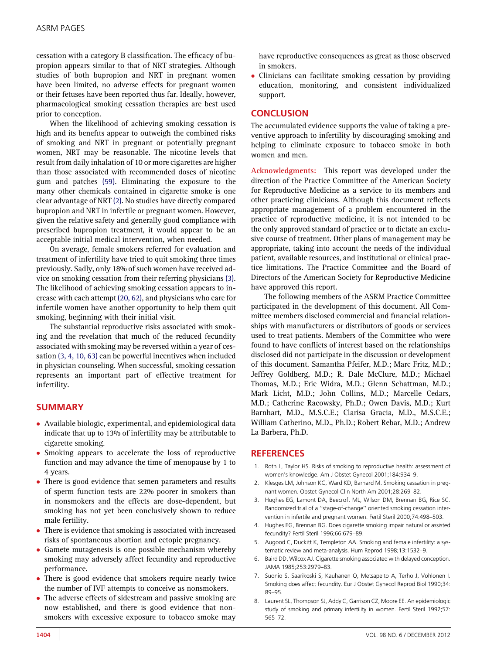<span id="page-4-0"></span>cessation with a category B classification. The efficacy of bupropion appears similar to that of NRT strategies. Although studies of both bupropion and NRT in pregnant women have been limited, no adverse effects for pregnant women or their fetuses have been reported thus far. Ideally, however, pharmacological smoking cessation therapies are best used prior to conception.

When the likelihood of achieving smoking cessation is high and its benefits appear to outweigh the combined risks of smoking and NRT in pregnant or potentially pregnant women, NRT may be reasonable. The nicotine levels that result from daily inhalation of 10 or more cigarettes are higher than those associated with recommended doses of nicotine gum and patches [\(59\).](#page-6-0) Eliminating the exposure to the many other chemicals contained in cigarette smoke is one clear advantage of NRT (2). No studies have directly compared bupropion and NRT in infertile or pregnant women. However, given the relative safety and generally good compliance with prescribed bupropion treatment, it would appear to be an acceptable initial medical intervention, when needed.

On average, female smokers referred for evaluation and treatment of infertility have tried to quit smoking three times previously. Sadly, only 18% of such women have received advice on smoking cessation from their referring physicians (3). The likelihood of achieving smoking cessation appears to increase with each attempt [\(20, 62\),](#page-5-0) and physicians who care for infertile women have another opportunity to help them quit smoking, beginning with their initial visit.

The substantial reproductive risks associated with smoking and the revelation that much of the reduced fecundity associated with smoking may be reversed within a year of cessation (3, 4, 10, 63) can be powerful incentives when included in physician counseling. When successful, smoking cessation represents an important part of effective treatment for infertility.

## SUMMARY

- Available biologic, experimental, and epidemiological data indicate that up to 13% of infertility may be attributable to cigarette smoking.
- Smoking appears to accelerate the loss of reproductive function and may advance the time of menopause by 1 to 4 years.
- $\bullet$  There is good evidence that semen parameters and results of sperm function tests are 22% poorer in smokers than in nonsmokers and the effects are dose-dependent, but smoking has not yet been conclusively shown to reduce male fertility.
- $\bullet$  There is evidence that smoking is associated with increased risks of spontaneous abortion and ectopic pregnancy.
- $\bullet$  Gamete mutagenesis is one possible mechanism whereby smoking may adversely affect fecundity and reproductive performance.
- There is good evidence that smokers require nearly twice the number of IVF attempts to conceive as nonsmokers.
- The adverse effects of sidestream and passive smoking are now established, and there is good evidence that nonsmokers with excessive exposure to tobacco smoke may

have reproductive consequences as great as those observed in smokers.

- Clinicians can facilitate smoking cessation by providing education, monitoring, and consistent individualized support.

## **CONCLUSION**

The accumulated evidence supports the value of taking a preventive approach to infertility by discouraging smoking and helping to eliminate exposure to tobacco smoke in both women and men.

Acknowledgments: This report was developed under the direction of the Practice Committee of the American Society for Reproductive Medicine as a service to its members and other practicing clinicians. Although this document reflects appropriate management of a problem encountered in the practice of reproductive medicine, it is not intended to be the only approved standard of practice or to dictate an exclusive course of treatment. Other plans of management may be appropriate, taking into account the needs of the individual patient, available resources, and institutional or clinical practice limitations. The Practice Committee and the Board of Directors of the American Society for Reproductive Medicine have approved this report.

The following members of the ASRM Practice Committee participated in the development of this document. All Committee members disclosed commercial and financial relationships with manufacturers or distributors of goods or services used to treat patients. Members of the Committee who were found to have conflicts of interest based on the relationships disclosed did not participate in the discussion or development of this document. Samantha Pfeifer, M.D.; Marc Fritz, M.D.; Jeffrey Goldberg, M.D.; R. Dale McClure, M.D.; Michael Thomas, M.D.; Eric Widra, M.D.; Glenn Schattman, M.D.; Mark Licht, M.D.; John Collins, M.D.; Marcelle Cedars, M.D.; Catherine Racowsky, Ph.D.; Owen Davis, M.D.; Kurt Barnhart, M.D., M.S.C.E.; Clarisa Gracia, M.D., M.S.C.E.; William Catherino, M.D., Ph.D.; Robert Rebar, M.D.; Andrew La Barbera, Ph.D.

### **REFERENCES**

- 1. Roth L, Taylor HS. Risks of smoking to reproductive health: assessment of women's knowledge. Am J Obstet Gynecol 2001;184:934–9.
- 2. Klesges LM, Johnson KC, Ward KD, Barnard M. Smoking cessation in pregnant women. Obstet Gynecol Clin North Am 2001;28:269–82.
- 3. Hughes EG, Lamont DA, Beecroft ML, Wilson DM, Brennan BG, Rice SC. Randomized trial of a ''stage-of-change'' oriented smoking cessation intervention in infertile and pregnant women. Fertil Steril 2000;74:498–503.
- 4. Hughes EG, Brennan BG. Does cigarette smoking impair natural or assisted fecundity? Fertil Steril 1996;66:679–89.
- 5. Augood C, Duckitt K, Templeton AA. Smoking and female infertility: a systematic review and meta-analysis. Hum Reprod 1998;13:1532–9.
- 6. Baird DD, Wilcox AJ. Cigarette smoking associated with delayed conception. JAMA 1985;253:2979–83.
- 7. Suonio S, Saarikoski S, Kauhanen O, Metsapelto A, Terho J, Vohlonen I. Smoking does affect fecundity. Eur J Obstet Gynecol Reprod Biol 1990;34: 89–95.
- 8. Laurent SL, Thompson SJ, Addy C, Garrison CZ, Moore EE. An epidemiologic study of smoking and primary infertility in women. Fertil Steril 1992;57: 565–72.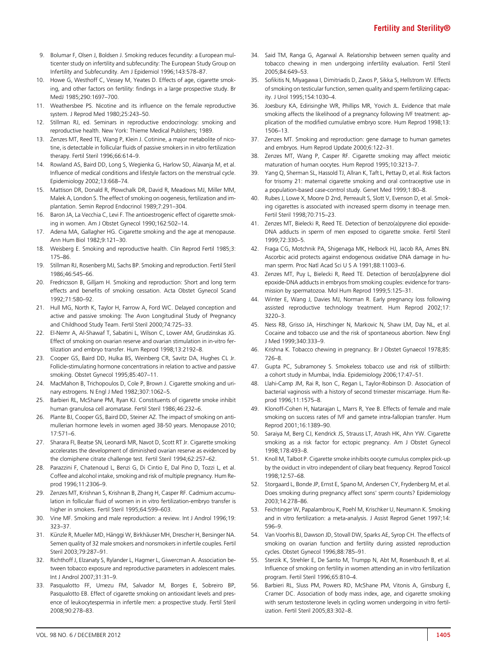- <span id="page-5-0"></span>9. Bolumar F, Olsen J, Boldsen J. Smoking reduces fecundity: a European multicenter study on infertility and subfecundity: The European Study Group on Infertility and Subfecundity. Am J Epidemiol 1996;143:578–87.
- 10. Howe G, Westhoff C, Vessey M, Yeates D. Effects of age, cigarette smoking, and other factors on fertility: findings in a large prospective study. Br MedJ 1985;290:1697–700.
- 11. Weathersbee PS. Nicotine and its influence on the female reproductive system. J Reprod Med 1980;25:243–50.
- 12. Stillman RJ, ed. Seminars in reproductive endocrinology: smoking and reproductive health. New York: Thieme Medical Publishers; 1989.
- 13. Zenzes MT, Reed TE, Wang P, Klein J. Cotinine, a major metabolite of nicotine, is detectable in follicular fluids of passive smokers in in vitro fertilization therapy. Fertil Steril 1996;66:614–9.
- 14. Rowland AS, Baird DD, Long S, Wegienka G, Harlow SD, Alavanja M, et al. Influence of medical conditions and lifestyle factors on the menstrual cycle. Epidemiology 2002;13:668–74.
- 15. Mattison DR, Donald R, Plowchalk DR, David R, Meadows MJ, Miller MM, Malek A, London S. The effect of smoking on oogenesis, fertilization and implantation. Semin Reprod Endocrinol 1989;7:291–304.
- 16. Baron JA, La Vecchia C, Levi F. The antioestrogenic effect of cigarette smoking in women. Am J Obstet Gynecol 1990;162:502–14.
- 17. Adena MA, Gallagher HG. Cigarette smoking and the age at menopause. Ann Hum Biol 1982;9:121–30.
- 18. Weisberg E. Smoking and reproductive health. Clin Reprod Fertil 1985;3: 175–86.
- 19. Stillman RJ, Rosenberg MJ, Sachs BP. Smoking and reproduction. Fertil Steril 1986;46:545–66.
- 20. Fredricsson B, Gilljam H. Smoking and reproduction: Short and long term effects and benefits of smoking cessation. Acta Obstet Gynecol Scand 1992;71:580–92.
- 21. Hull MG, North K, Taylor H, Farrow A, Ford WC. Delayed conception and active and passive smoking: The Avon Longitudinal Study of Pregnancy and Childhood Study Team. Fertil Steril 2000;74:725–33.
- 22. El-Nemr A, Al-Shawaf T, Sabatini L, Wilson C, Lower AM, Grudzinskas JG. Effect of smoking on ovarian reserve and ovarian stimulation in in-vitro fertilization and embryo transfer. Hum Reprod 1998;13:2192–8.
- 23. Cooper GS, Baird DD, Hulka BS, Weinberg CR, Savitz DA, Hughes CL Jr. Follicle-stimulating hormone concentrations in relation to active and passive smoking. Obstet Gynecol 1995;85:407–11.
- 24. MacMahon B, Trichopoulos D, Cole P, Brown J. Cigarette smoking and urinary estrogens. N Engl J Med 1982;307:1062–5.
- 25. Barbieri RL, McShane PM, Ryan KJ. Constituents of cigarette smoke inhibit human granulosa cell aromatase. Fertil Steril 1986;46:232–6.
- 26. Plante BJ, Cooper GS, Baird DD, Steiner AZ. The impact of smoking on antimullerian hormone levels in women aged 38-50 years. Menopause 2010; 17:571–6.
- 27. Sharara FI, Beatse SN, Leonardi MR, Navot D, Scott RT Jr. Cigarette smoking accelerates the development of diminished ovarian reserve as evidenced by the clomiphene citrate challenge test. Fertil Steril 1994;62:257–62.
- 28. Parazzini F, Chatenoud L, Benzi G, Di Cintio E, Dal Pino D, Tozzi L, et al. Coffee and alcohol intake, smoking and risk of multiple pregnancy. Hum Reprod 1996;11:2306–9.
- 29. Zenzes MT, Krishnan S, Krishnan B, Zhang H, Casper RF. Cadmium accumulation in follicular fluid of women in in vitro fertilization-embryo transfer is higher in smokers. Fertil Steril 1995;64:599–603.
- 30. Vine MF. Smoking and male reproduction: a review. Int J Androl 1996;19: 323–37.
- 31. Künzle R, Mueller MD, Hänggi W, Birkhäuser MH, Drescher H, Bersinger NA. Semen quality of 32 male smokers and nonsmokers in infertile couples. Fertil Steril 2003;79:287–91.
- 32. Richthoff J, Elzanaty S, Rylander L, Hagmer L, Giwercman A. Association between tobacco exposure and reproductive parameters in adolescent males. Int J Androl 2007;31:31–9.
- 33. Pasqualotto FF, Umezu FM, Salvador M, Borges E, Sobreiro BP, Pasqualotto EB. Effect of cigarette smoking on antioxidant levels and presence of leukocytespermia in infertile men: a prospective study. Fertil Steril 2008;90:278–83.
- 34. Said TM, Ranga G, Agarwal A. Relationship between semen quality and tobacco chewing in men undergoing infertility evaluation. Fertil Steril 2005;84:649–53.
- 35. Sofikitis N, Miyagawa I, Dimitriadis D, Zavos P, Sikka S, Hellstrom W. Effects of smoking on testicular function, semen quality and sperm fertilizing capacity. J Urol 1995;154:1030–4.
- 36. Joesbury KA, Edirisinghe WR, Phillips MR, Yovich JL. Evidence that male smoking affects the likelihood of a pregnancy following IVF treatment: application of the modified cumulative embryo score. Hum Reprod 1998;13: 1506–13.
- 37. Zenzes MT. Smoking and reproduction: gene damage to human gametes and embryos. Hum Reprod Update 2000;6:122–31.
- 38. Zenzes MT, Wang P, Casper RF. Cigarette smoking may affect meiotic maturation of human oocytes. Hum Reprod 1995;10:3213–7.
- 39. Yang Q, Sherman SL, Hassold TJ, Allran K, Taft L, Pettay D, et al. Risk factors for trisomy 21: maternal cigarette smoking and oral contraceptive use in a population-based case-control study. Genet Med 1999;1:80–8.
- 40. Rubes J, Lowe X, Moore D 2nd, Perreault S, Slott V, Evenson D, et al. Smoking cigarettes is associated with increased sperm disomy in teenage men. Fertil Steril 1998;70:715–23.
- 41. Zenzes MT, Bielecki R, Reed TE. Detection of benzo(a)pyrene diol epoxide-DNA adducts in sperm of men exposed to cigarette smoke. Fertil Steril 1999;72:330–5.
- 42. Fraga CG, Motchnik PA, Shigenaga MK, Helbock HJ, Jacob RA, Ames BN. Ascorbic acid protects against endogenous oxidative DNA damage in human sperm. Proc Natl Acad Sci U S A 1991;88:11003–6.
- 43. Zenzes MT, Puy L, Bielecki R, Reed TE. Detection of benzo[a]pyrene diol epoxide-DNA adducts in embryos from smoking couples: evidence for transmission by spermatozoa. Mol Hum Reprod 1999;5:125–31.
- 44. Winter E, Wang J, Davies MJ, Norman R. Early pregnancy loss following assisted reproductive technology treatment. Hum Reprod 2002;17: 3220–3.
- 45. Ness RB, Grisso JA, Hirschinger N, Markovic N, Shaw LM, Day NL, et al. Cocaine and tobacco use and the risk of spontaneous abortion. New Engl J Med 1999;340:333–9.
- 46. Krishna K. Tobacco chewing in pregnancy. Br J Obstet Gynaecol 1978;85: 726–8.
- 47. Gupta PC, Subramoney S. Smokeless tobacco use and risk of stillbirth: a cohort study in Mumbai, India. Epidemiology 2006;17:47–51.
- 48. Llahi-Camp JM, Rai R, Ison C, Regan L, Taylor-Robinson D. Association of bacterial vaginosis with a history of second trimester miscarriage. Hum Reprod 1996;11:1575–8.
- 49. Klonoff-Cohen H, Natarajan L, Marrs R, Yee B. Effects of female and male smoking on success rates of IVF and gamete intra-fallopian transfer. Hum Reprod 2001;16:1389–90.
- 50. Saraiya M, Berg CJ, Kendrick JS, Strauss LT, Atrash HK, Ahn YW. Cigarette smoking as a risk factor for ectopic pregnancy. Am J Obstet Gynecol 1998;178:493–8.
- 51. Knoll M, Talbot P. Cigarette smoke inhibits oocyte cumulus complex pick-up by the oviduct in vitro independent of ciliary beat frequency. Reprod Toxicol 1998;12:57–68.
- 52. Storgaard L, Bonde JP, Ernst E, Spano M, Andersen CY, Frydenberg M, et al. Does smoking during pregnancy affect sons' sperm counts? Epidemiology 2003;14:278–86.
- 53. Feichtinger W, Papalambrou K, Poehl M, Krischker U, Neumann K. Smoking and in vitro fertilization: a meta-analysis. J Assist Reprod Genet 1997;14: 596–9.
- 54. Van Voorhis BJ, Dawson JD, Stovall DW, Sparks AE, Syrop CH. The effects of smoking on ovarian function and fertility during assisted reproduction cycles. Obstet Gynecol 1996;88:785–91.
- 55. Sterzik K, Strehler E, De Santo M, Trumpp N, Abt M, Rosenbusch B, et al. Influence of smoking on fertility in women attending an in vitro fertilization program. Fertil Steril 1996;65:810–4.
- 56. Barbieri RL, Sluss PM, Powers RD, McShane PM, Vitonis A, Ginsburg E, Cramer DC. Association of body mass index, age, and cigarette smoking with serum testosterone levels in cycling women undergoing in vitro fertilization. Fertil Steril 2005;83:302–8.